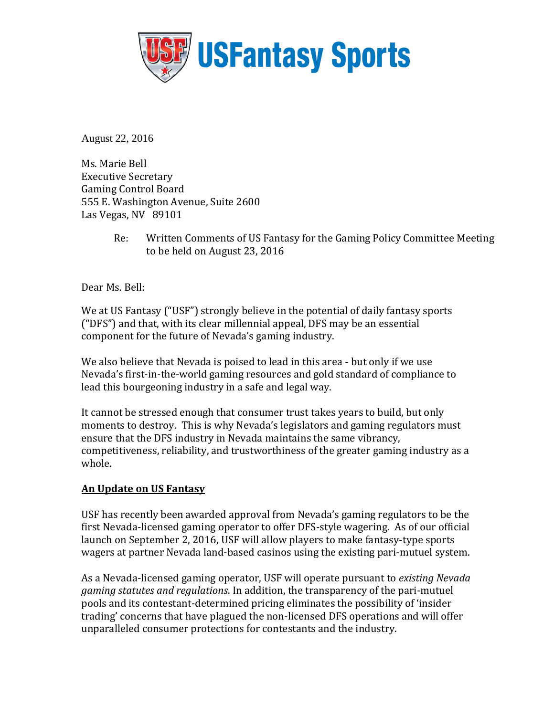

August 22, 2016

Ms. Marie Bell Executive Secretary Gaming Control Board 555 E. Washington Avenue, Suite 2600 Las Vegas, NV 89101

> Re: Written Comments of US Fantasy for the Gaming Policy Committee Meeting to be held on August 23, 2016

Dear Ms. Bell:

We at US Fantasy ("USF") strongly believe in the potential of daily fantasy sports ("DFS") and that, with its clear millennial appeal, DFS may be an essential component for the future of Nevada's gaming industry.

We also believe that Nevada is poised to lead in this area - but only if we use Nevada's first-in-the-world gaming resources and gold standard of compliance to lead this bourgeoning industry in a safe and legal way.

It cannot be stressed enough that consumer trust takes years to build, but only moments to destroy. This is why Nevada's legislators and gaming regulators must ensure that the DFS industry in Nevada maintains the same vibrancy, competitiveness, reliability, and trustworthiness of the greater gaming industry as a whole.

## **An Update on US Fantasy**

USF has recently been awarded approval from Nevada's gaming regulators to be the first Nevada-licensed gaming operator to offer DFS-style wagering. As of our official launch on September 2, 2016, USF will allow players to make fantasy-type sports wagers at partner Nevada land-based casinos using the existing pari-mutuel system.

As a Nevada-licensed gaming operator, USF will operate pursuant to *existing Nevada gaming statutes and regulations*. In addition, the transparency of the pari-mutuel pools and its contestant-determined pricing eliminates the possibility of 'insider trading' concerns that have plagued the non-licensed DFS operations and will offer unparalleled consumer protections for contestants and the industry.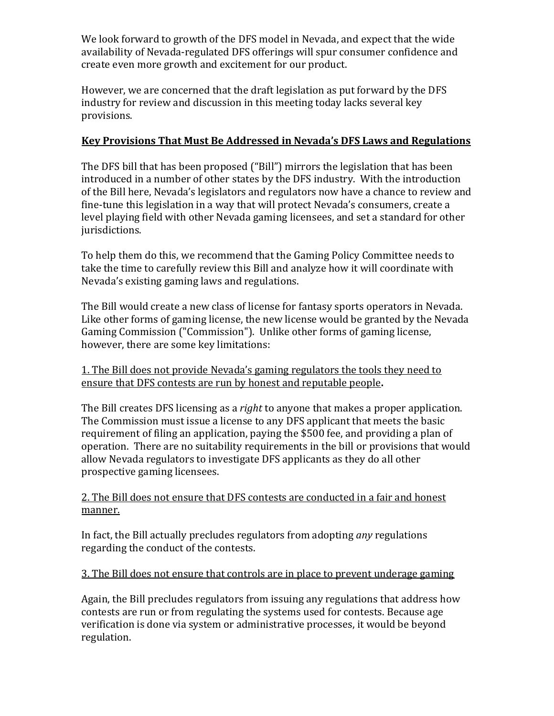We look forward to growth of the DFS model in Nevada, and expect that the wide availability of Nevada-regulated DFS offerings will spur consumer confidence and create even more growth and excitement for our product.

However, we are concerned that the draft legislation as put forward by the DFS industry for review and discussion in this meeting today lacks several key provisions.

## **Key Provisions That Must Be Addressed in Nevada's DFS Laws and Regulations**

The DFS bill that has been proposed ("Bill") mirrors the legislation that has been introduced in a number of other states by the DFS industry. With the introduction of the Bill here, Nevada's legislators and regulators now have a chance to review and fine-tune this legislation in a way that will protect Nevada's consumers, create a level playing field with other Nevada gaming licensees, and set a standard for other jurisdictions.

To help them do this, we recommend that the Gaming Policy Committee needs to take the time to carefully review this Bill and analyze how it will coordinate with Nevada's existing gaming laws and regulations.

The Bill would create a new class of license for fantasy sports operators in Nevada. Like other forms of gaming license, the new license would be granted by the Nevada Gaming Commission ("Commission"). Unlike other forms of gaming license, however, there are some key limitations:

1. The Bill does not provide Nevada's gaming regulators the tools they need to ensure that DFS contests are run by honest and reputable people**.**

The Bill creates DFS licensing as a *right* to anyone that makes a proper application. The Commission must issue a license to any DFS applicant that meets the basic requirement of filing an application, paying the \$500 fee, and providing a plan of operation. There are no suitability requirements in the bill or provisions that would allow Nevada regulators to investigate DFS applicants as they do all other prospective gaming licensees.

## 2. The Bill does not ensure that DFS contests are conducted in a fair and honest manner.

In fact, the Bill actually precludes regulators from adopting *any* regulations regarding the conduct of the contests.

## 3. The Bill does not ensure that controls are in place to prevent underage gaming

Again, the Bill precludes regulators from issuing any regulations that address how contests are run or from regulating the systems used for contests. Because age verification is done via system or administrative processes, it would be beyond regulation.